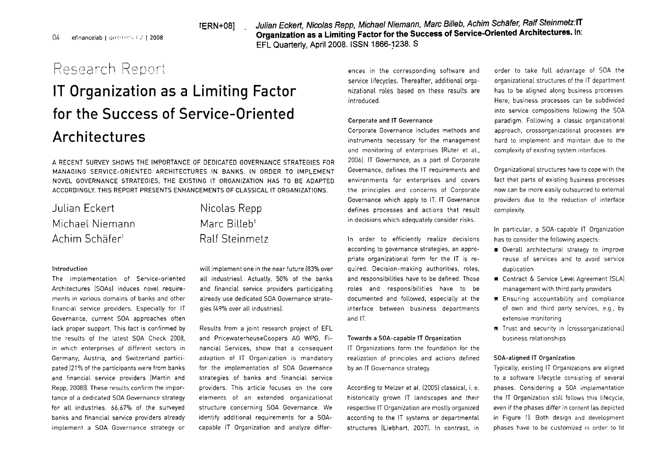rERN+O8] . **Julian Eckert, Nicolas Repp, Michael Niemann, Marc Billeb, Achim Schäfer, Ralf Steinmeiz:lT**  04 efinancelab I questerly 62 | 2008 *Organization as a Limiting Factor for the Success of Service-Oriented Architectures. In:* **EFL** Quarterly, April 2008. ISSN 1866-j238. S

## $R$ esearch Report ences in the corresponding software and order to take full advantage of SOA the

# IT Organization as a Limiting Factor for the Success of Service-Oriented Architectures

A RECENT SURVEY SHOWS THE IMPORTANCE OF DEDICATED GOVERNANCE STRATEGIES FOR MANAGING SERVICE-ORIENTED ARCHITECTURES IN BANKS. IN ORDER T0 IMPLEMENT NOVEL GOVERNANCE STRATEGIES. THE EXlSTlNG IT ORGANIZATION HAS T0 BE ADAPTED ACCORDINGLY. THIS REPORT PRESENTS ENHANCEMENTS OF CLASSICAL IT ORGANIZATIONS.

| Julian Eckert              | Nicolas Repp             |
|----------------------------|--------------------------|
| Michael Niemann            | Marc Billeb <sup>1</sup> |
| Achim Schäfer <sup>i</sup> | <b>Ralf Steinmetz</b>    |

### lntroduction

The implementation of Service-oriented Architectures [SOAs] induces novel requirements in various domains of banks and other financial service providers. Especially for IT Governance. current SOA approaches often lack proper Support. This fact is confirmed by the results of the latest SOA Check 2008, in which enterprises of different sectors in Germany. Austria. and Switzerland participated [21% of the participants were from banks and financial service providers [Martin and Repp. 2008]]. These results confirm the importance of a dedicated SOA Governance strategy for all industries. 66.67% of the surveyed banks and financial service providers already implement a SOA Governance strategy or

will implement one in the near future (83% over all industries]. Actually, 50% of the banks and financial service providers participating already use dedicated SOA Governance strategies 119% over all industriesl.

Results from a joint research project of EFL and PricewaterhouseCoopers AG WPG. Financial Services. show that a consequent adaption of IT Organization is mandatory for the implementation of SOA Governance strategies of banks and financial service providers. This article focuses on the core elements of an extended organizational structure concerning SOA Governance. We identify additional requirements for a SOAcapable IT Organization and analyze differservice lifecycles. Thereafter, additional orga- organizational structures of the IT department nizational roles based on these results are has to be aligned along business processes. introduced. Here. business processes can be subdivided

#### Corporate and **IT** Governance

Corporate Governance includes methods and instruments necessary for the management and monitoring of enterprises IRüter et al., 2006). IT Governance, as a part of Corporate Governance. defines the IT requirements and environments for enterprises and Covers the principles and concerns of Corporate Governance which apply to IT. IT Governance defines processes and actions that result in decisions which adequately consider risks.

In order to efficiently realize decisions according to governance strategies, an appropriate organizational form for the IT is required. Decision-making authorities, roles. and responsibilities have to be defined. Those roles and responsibilities have to be documented and followed. especially at the interface between business departments and IT.

#### Towards a SOA-capable IT Organization

IT Organizations form the foundation for the realization of principles and actions defined by an IT Governance strategy.

According to Melzer et al. (2005) classical, i. e. historically grown IT landscapes and their respective IT Organization are mostly organized according to the IT Systems or departmental structures (Liebhart, 2007). In contrast, in

into service compositions following the SOA paradigm. Following a classic organizational approach. crossorganizational processes are hard to implement and maintain due to the complexity of existing system interfaces.

Organizational structures have to cope with the fact that parts of existing business processes now can be more easily outsourced to external providers due to the reduction of interface complexity.

In particular. a SOA-capable IT Organization has to consider the following aspects:

- **nr** Overall architectural strategy to improve reuse of services and to avoid service duplication
- **II** Contract & Service Level Agreement (SLA) management with third party providers
- **Ensuring accountability and compliance** of own and third party services. e.g., by extensive monitoring
- **E** Trust and security in [crossorganizational] business relationships

#### SOA-aligned IT Organization

Typically. existing IT Organizations are aligned to a software lifecycle consisting of several phases. Considering a SOA implementation the IT Organization still follows this lifecycle. even if the phases differ in content [as depicted in Figure 1). Both design and development phases have to be customized in order to fit